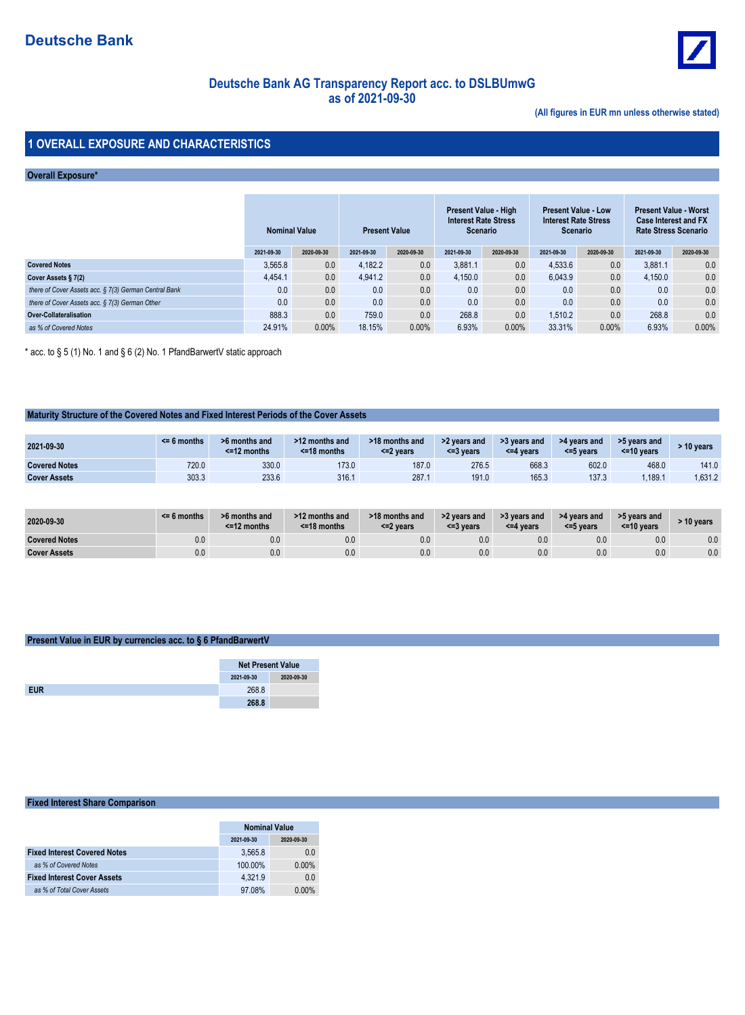

## **Deutsche Bank AG Transparency Report acc. to DSLBUmwGas of 2021-09-30**

**(All figures in EUR mn unless otherwise stated)**

### **1 OVERALL EXPOSURE AND CHARACTERISTICS**

### **Overall Exposure\***

|                                                       | <b>Nominal Value</b> |            | <b>Present Value</b> |            | Present Value - High<br><b>Interest Rate Stress</b><br><b>Scenario</b> |            | <b>Present Value - Low</b><br><b>Interest Rate Stress</b><br>Scenario |            | <b>Present Value - Worst</b><br><b>Case Interest and FX</b><br><b>Rate Stress Scenario</b> |            |
|-------------------------------------------------------|----------------------|------------|----------------------|------------|------------------------------------------------------------------------|------------|-----------------------------------------------------------------------|------------|--------------------------------------------------------------------------------------------|------------|
|                                                       | 2021-09-30           | 2020-09-30 | 2021-09-30           | 2020-09-30 | 2021-09-30                                                             | 2020-09-30 | 2021-09-30                                                            | 2020-09-30 | 2021-09-30                                                                                 | 2020-09-30 |
| <b>Covered Notes</b>                                  | 3.565.8              | 0.0        | 4.182.2              | 0.0        | 3.881.1                                                                | 0.0        | 4.533.6                                                               | 0.0        | 3.881.1                                                                                    | 0.0        |
| Cover Assets § 7(2)                                   | 4.454.1              | 0.0        | 4.941.2              | 0.0        | 4.150.0                                                                | 0.0        | 6.043.9                                                               | 0.0        | 4.150.0                                                                                    | 0.0        |
| there of Cover Assets acc. § 7(3) German Central Bank | 0.0                  | 0.0        | 0.0                  | 0.0        | 0.0                                                                    | 0.0        | 0.0                                                                   | 0.0        | 0.0                                                                                        | 0.0        |
| there of Cover Assets acc. § 7(3) German Other        | 0.0                  | 0.0        | 0.0                  | 0.0        | 0.0                                                                    | 0.0        | 0.0                                                                   | 0.0        | 0.0                                                                                        | 0.0        |
| Over-Collateralisation                                | 888.3                | 0.0        | 759.0                | 0.0        | 268.8                                                                  | 0.0        | 1.510.2                                                               | 0.0        | 268.8                                                                                      | 0.0        |
| as % of Covered Notes                                 | 24.91%               | $0.00\%$   | 18.15%               | 0.00%      | 6.93%                                                                  | 0.00%      | 33.31%                                                                | $0.00\%$   | 6.93%                                                                                      | 0.00%      |

\* acc. to § 5 (1) No. 1 and § 6 (2) No. 1 PfandBarwertV static approach

### **Maturity Structure of the Covered Notes and Fixed Interest Periods of the Cover Assets**

| 2021-09-30           | $<$ 6 months | >6 months and<br>$<$ =12 months | >12 months and<br>$<$ =18 months | >18 months and<br><=2 years | >2 years and<br><=3 vears | >3 years and<br><=4 years | >4 years and<br><=5 years | >5 years and<br>$\leq$ 10 years | 10 vears |
|----------------------|--------------|---------------------------------|----------------------------------|-----------------------------|---------------------------|---------------------------|---------------------------|---------------------------------|----------|
| <b>Covered Notes</b> | 720.0        | 330.0                           | 173.0                            | 187.0                       | 276.5                     | 668.3                     | 602.0                     | 468.0                           | 141.0    |
| <b>Cover Assets</b>  | 303.3        | 233.6                           | 316.1                            | 287.1                       | 191.0                     | 165.3                     | 137.3                     | .189.1                          | .631.2   |

| 2020-09-30           | $\leq$ 6 months | >6 months and<br>$<$ =12 months | >12 months and<br>$<$ =18 months | >18 months and<br><=2 years | >2 years and<br><=3 vears | >3 years and<br><=4 years | >4 years and<br><= 5 years | >5 years and<br>$<$ =10 years | > 10 years |
|----------------------|-----------------|---------------------------------|----------------------------------|-----------------------------|---------------------------|---------------------------|----------------------------|-------------------------------|------------|
| <b>Covered Notes</b> | 0.0             | 0.0                             | 0.0                              | 0.0                         | 0.0                       | 0.0                       | 0.0                        | 0.0                           | $0.0\,$    |
| <b>Cover Assets</b>  | 0.0             | 0.0                             | 0.0                              | 0.0                         | 0.0                       | 0.0                       | 0.0                        | 0.0                           | 0.0        |

### **Present Value in EUR by currencies acc. to § 6 PfandBarwertV**

| <b>Net Present Value</b> |            |
|--------------------------|------------|
| 2021-09-30               | 2020-09-30 |
| 268.8                    |            |
| 268.8                    |            |

#### **Fixed Interest Share Comparison**

|                                     | <b>Nominal Value</b> |            |  |  |
|-------------------------------------|----------------------|------------|--|--|
|                                     | 2021-09-30           | 2020-09-30 |  |  |
| <b>Fixed Interest Covered Notes</b> | 3.565.8              | 0.0        |  |  |
| as % of Covered Notes               | 100.00%              | $0.00\%$   |  |  |
| <b>Fixed Interest Cover Assets</b>  | 4.321.9              | 0.0        |  |  |
| as % of Total Cover Assets          | 97.08%               | $0.00\%$   |  |  |
|                                     |                      |            |  |  |